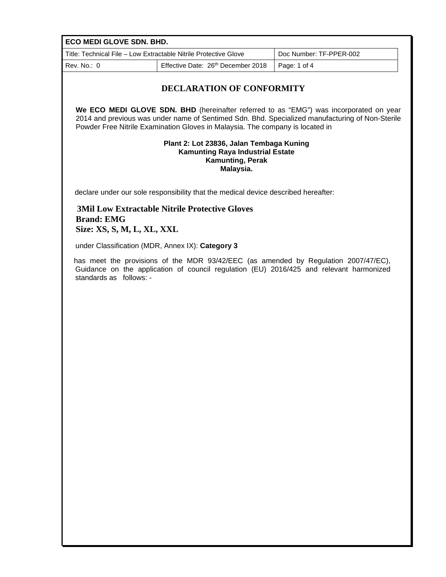| ECO MEDI GLOVE SDN. BHD.                                                                                                                                                                                  |                                                                                    |                                                                                                                                                                                           |  |  |
|-----------------------------------------------------------------------------------------------------------------------------------------------------------------------------------------------------------|------------------------------------------------------------------------------------|-------------------------------------------------------------------------------------------------------------------------------------------------------------------------------------------|--|--|
| Title: Technical File - Low Extractable Nitrile Protective Glove<br>Doc Number: TF-PPER-002                                                                                                               |                                                                                    |                                                                                                                                                                                           |  |  |
| Rev. No.: 0                                                                                                                                                                                               | Effective Date: 26th December 2018                                                 | Page: 1 of 4                                                                                                                                                                              |  |  |
| <b>DECLARATION OF CONFORMITY</b>                                                                                                                                                                          |                                                                                    |                                                                                                                                                                                           |  |  |
|                                                                                                                                                                                                           | Powder Free Nitrile Examination Gloves in Malaysia. The company is located in      | We ECO MEDI GLOVE SDN. BHD (hereinafter referred to as "EMG") was incorporated on year<br>2014 and previous was under name of Sentimed Sdn. Bhd. Specialized manufacturing of Non-Sterile |  |  |
| Plant 2: Lot 23836, Jalan Tembaga Kuning<br><b>Kamunting Raya Industrial Estate</b><br>Kamunting, Perak<br>Malaysia.                                                                                      |                                                                                    |                                                                                                                                                                                           |  |  |
|                                                                                                                                                                                                           | declare under our sole responsibility that the medical device described hereafter: |                                                                                                                                                                                           |  |  |
| <b>Brand: EMG</b><br>Size: XS, S, M, L, XL, XXL                                                                                                                                                           | <b>3Mil Low Extractable Nitrile Protective Gloves</b>                              |                                                                                                                                                                                           |  |  |
|                                                                                                                                                                                                           | under Classification (MDR, Annex IX): Category 3                                   |                                                                                                                                                                                           |  |  |
| has meet the provisions of the MDR 93/42/EEC (as amended by Regulation 2007/47/EC),<br>Guidance on the application of council regulation (EU) 2016/425 and relevant harmonized<br>standards as follows: - |                                                                                    |                                                                                                                                                                                           |  |  |
|                                                                                                                                                                                                           |                                                                                    |                                                                                                                                                                                           |  |  |
|                                                                                                                                                                                                           |                                                                                    |                                                                                                                                                                                           |  |  |
|                                                                                                                                                                                                           |                                                                                    |                                                                                                                                                                                           |  |  |
|                                                                                                                                                                                                           |                                                                                    |                                                                                                                                                                                           |  |  |
|                                                                                                                                                                                                           |                                                                                    |                                                                                                                                                                                           |  |  |
|                                                                                                                                                                                                           |                                                                                    |                                                                                                                                                                                           |  |  |
|                                                                                                                                                                                                           |                                                                                    |                                                                                                                                                                                           |  |  |
|                                                                                                                                                                                                           |                                                                                    |                                                                                                                                                                                           |  |  |
|                                                                                                                                                                                                           |                                                                                    |                                                                                                                                                                                           |  |  |
|                                                                                                                                                                                                           |                                                                                    |                                                                                                                                                                                           |  |  |
|                                                                                                                                                                                                           |                                                                                    |                                                                                                                                                                                           |  |  |
|                                                                                                                                                                                                           |                                                                                    |                                                                                                                                                                                           |  |  |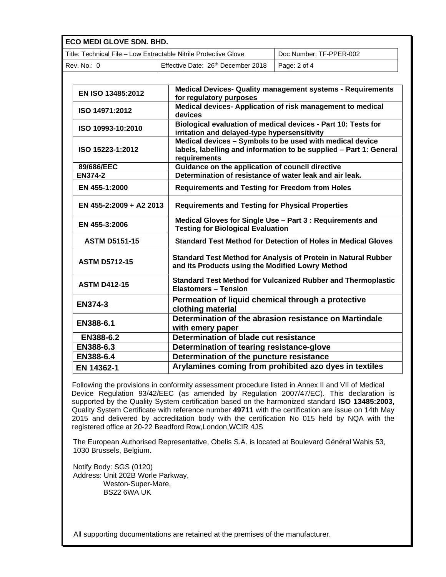**ECO MEDI GLOVE SDN. BHD.**

| Title: Technical File – Low Extractable Nitrile Protective Glove |                                    | Doc Number: TF-PPER-002 |
|------------------------------------------------------------------|------------------------------------|-------------------------|
| Rev. No.: 0                                                      | Effective Date: 26th December 2018 | Page: 2 of 4            |

| <b>Medical Devices- Quality management systems - Requirements</b><br>for regulatory purposes                                                     |  |
|--------------------------------------------------------------------------------------------------------------------------------------------------|--|
| Medical devices- Application of risk management to medical<br>devices                                                                            |  |
| Biological evaluation of medical devices - Part 10: Tests for<br>irritation and delayed-type hypersensitivity                                    |  |
| Medical devices $-$ Symbols to be used with medical device<br>labels, labelling and information to be supplied - Part 1: General<br>requirements |  |
| Guidance on the application of council directive                                                                                                 |  |
| Determination of resistance of water leak and air leak.                                                                                          |  |
| <b>Requirements and Testing for Freedom from Holes</b>                                                                                           |  |
| <b>Requirements and Testing for Physical Properties</b>                                                                                          |  |
| Medical Gloves for Single Use - Part 3 : Requirements and<br><b>Testing for Biological Evaluation</b>                                            |  |
| <b>Standard Test Method for Detection of Holes in Medical Gloves</b>                                                                             |  |
| Standard Test Method for Analysis of Protein in Natural Rubber<br>and its Products using the Modified Lowry Method                               |  |
| Standard Test Method for Vulcanized Rubber and Thermoplastic<br><b>Elastomers - Tension</b>                                                      |  |
| Permeation of liquid chemical through a protective<br>clothing material                                                                          |  |
| Determination of the abrasion resistance on Martindale<br>with emery paper                                                                       |  |
| Determination of blade cut resistance                                                                                                            |  |
| Determination of tearing resistance-glove                                                                                                        |  |
| Determination of the puncture resistance                                                                                                         |  |
| Arylamines coming from prohibited azo dyes in textiles                                                                                           |  |
|                                                                                                                                                  |  |

Following the provisions in conformity assessment procedure listed in Annex II and VII of Medical Device Regulation 93/42/EEC (as amended by Regulation 2007/47/EC). This declaration is supported by the Quality System certification based on the harmonized standard **ISO 13485:2003**, Quality System Certificate with reference number **49711** with the certification are issue on 14th May 2015 and delivered by accreditation body with the certification No 015 held by NQA with the registered office at 20-22 Beadford Row,London,WCIR 4JS

The European Authorised Representative, Obelis S.A. is located at Boulevard Général Wahis 53, 1030 Brussels, Belgium.

Notify Body: SGS (0120) Address: Unit 202B Worle Parkway, Weston-Super-Mare, BS22 6WA UK

All supporting documentations are retained at the premises of the manufacturer.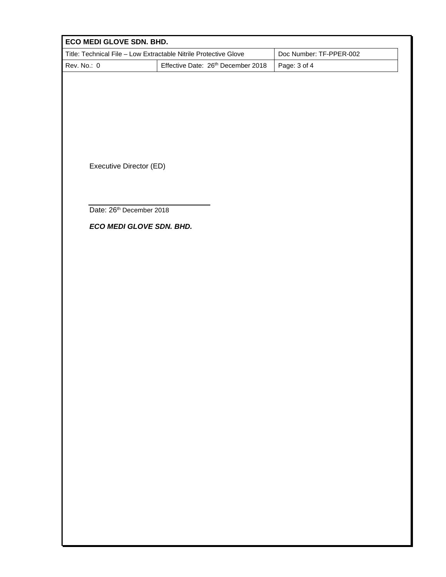| ECO MEDI GLOVE SDN. BHD.                                         |                                    |                         |
|------------------------------------------------------------------|------------------------------------|-------------------------|
| Title: Technical File - Low Extractable Nitrile Protective Glove |                                    | Doc Number: TF-PPER-002 |
| Rev. No.: 0                                                      | Effective Date: 26th December 2018 | Page: 3 of 4            |
|                                                                  |                                    |                         |
|                                                                  |                                    |                         |
|                                                                  |                                    |                         |
|                                                                  |                                    |                         |
|                                                                  |                                    |                         |
|                                                                  |                                    |                         |
| Executive Director (ED)                                          |                                    |                         |
|                                                                  |                                    |                         |
|                                                                  |                                    |                         |
| Date: 26th December 2018                                         |                                    |                         |
| ECO MEDI GLOVE SDN. BHD.                                         |                                    |                         |
|                                                                  |                                    |                         |
|                                                                  |                                    |                         |
|                                                                  |                                    |                         |
|                                                                  |                                    |                         |
|                                                                  |                                    |                         |
|                                                                  |                                    |                         |
|                                                                  |                                    |                         |
|                                                                  |                                    |                         |
|                                                                  |                                    |                         |
|                                                                  |                                    |                         |
|                                                                  |                                    |                         |
|                                                                  |                                    |                         |
|                                                                  |                                    |                         |
|                                                                  |                                    |                         |
|                                                                  |                                    |                         |
|                                                                  |                                    |                         |
|                                                                  |                                    |                         |
|                                                                  |                                    |                         |
|                                                                  |                                    |                         |
|                                                                  |                                    |                         |
|                                                                  |                                    |                         |
|                                                                  |                                    |                         |
|                                                                  |                                    |                         |
|                                                                  |                                    |                         |
|                                                                  |                                    |                         |
|                                                                  |                                    |                         |